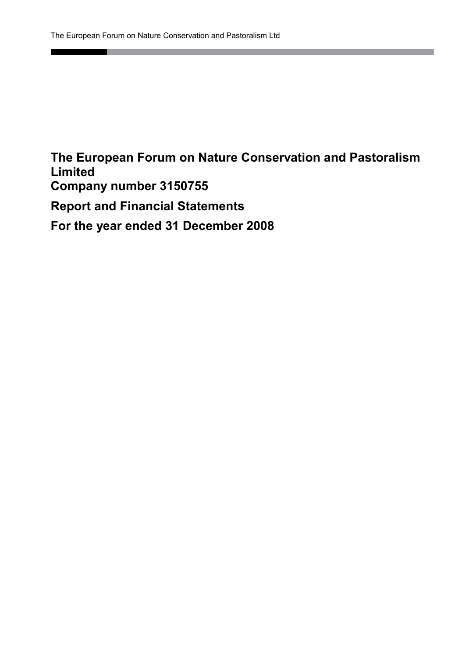# **The European Forum on Nature Conservation and Pastoralism Limited Company number 3150755 Report and Financial Statements For the year ended 31 December 2008**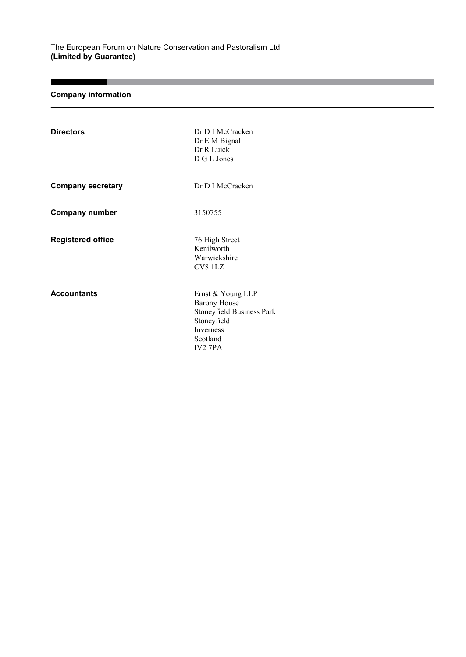# **Company information**

| <b>Directors</b>         | Dr D I McCracken<br>Dr E M Bignal<br>Dr R Luick<br>D G L Jones                                                                  |
|--------------------------|---------------------------------------------------------------------------------------------------------------------------------|
| <b>Company secretary</b> | Dr D I McCracken                                                                                                                |
| <b>Company number</b>    | 3150755                                                                                                                         |
| <b>Registered office</b> | 76 High Street<br>Kenilworth<br>Warwickshire<br>CV8 1LZ                                                                         |
| <b>Accountants</b>       | Ernst & Young LLP<br><b>Barony House</b><br>Stoneyfield Business Park<br>Stoneyfield<br>Inverness<br>Scotland<br><b>IV2 7PA</b> |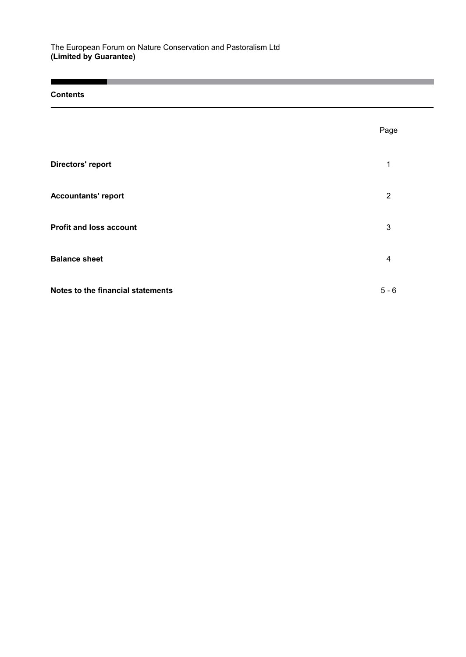a sa salawan na kata

# **Contents**

|                                   | Page           |
|-----------------------------------|----------------|
| Directors' report                 | 1              |
| <b>Accountants' report</b>        | $\overline{2}$ |
| <b>Profit and loss account</b>    | 3              |
| <b>Balance sheet</b>              | 4              |
| Notes to the financial statements | $5 - 6$        |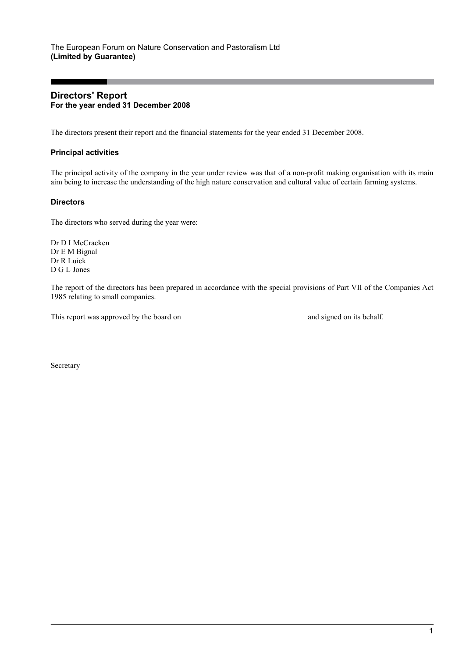# **Directors' Report For the year ended 31 December 2008**

The directors present their report and the financial statements for the year ended 31 December 2008.

# **Principal activities**

The principal activity of the company in the year under review was that of a non-profit making organisation with its main aim being to increase the understanding of the high nature conservation and cultural value of certain farming systems.

# **Directors**

The directors who served during the year were:

Dr D I McCracken Dr E M Bignal Dr R Luick D G L Jones

The report of the directors has been prepared in accordance with the special provisions of Part VII of the Companies Act 1985 relating to small companies.

This report was approved by the board on and signed on and signed on its behalf.

Secretary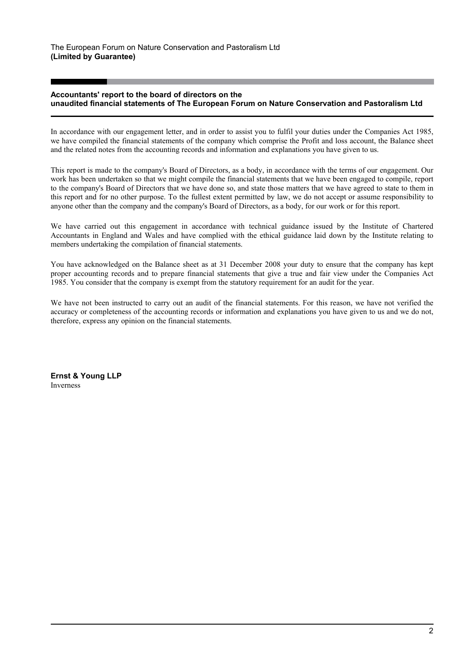# **Accountants' report to the board of directors on the unaudited financial statements of The European Forum on Nature Conservation and Pastoralism Ltd**

In accordance with our engagement letter, and in order to assist you to fulfil your duties under the Companies Act 1985, we have compiled the financial statements of the company which comprise the Profit and loss account, the Balance sheet and the related notes from the accounting records and information and explanations you have given to us.

This report is made to the company's Board of Directors, as a body, in accordance with the terms of our engagement. Our work has been undertaken so that we might compile the financial statements that we have been engaged to compile, report to the company's Board of Directors that we have done so, and state those matters that we have agreed to state to them in this report and for no other purpose. To the fullest extent permitted by law, we do not accept or assume responsibility to anyone other than the company and the company's Board of Directors, as a body, for our work or for this report.

We have carried out this engagement in accordance with technical guidance issued by the Institute of Chartered Accountants in England and Wales and have complied with the ethical guidance laid down by the Institute relating to members undertaking the compilation of financial statements.

You have acknowledged on the Balance sheet as at 31 December 2008 your duty to ensure that the company has kept proper accounting records and to prepare financial statements that give a true and fair view under the Companies Act 1985. You consider that the company is exempt from the statutory requirement for an audit for the year.

We have not been instructed to carry out an audit of the financial statements. For this reason, we have not verified the accuracy or completeness of the accounting records or information and explanations you have given to us and we do not, therefore, express any opinion on the financial statements.

**Ernst & Young LLP** Inverness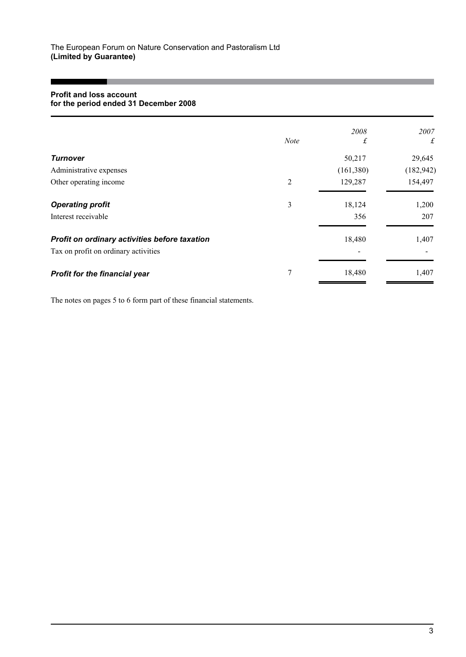# **Profit and loss account for the period ended 31 December 2008**

|                                               |             | 2008       | 2007       |
|-----------------------------------------------|-------------|------------|------------|
|                                               | <b>Note</b> | £          | £          |
| <b>Turnover</b>                               |             | 50,217     | 29,645     |
| Administrative expenses                       |             | (161, 380) | (182, 942) |
| Other operating income                        | 2           | 129,287    | 154,497    |
| <b>Operating profit</b>                       | 3           | 18,124     | 1,200      |
| Interest receivable                           |             | 356        | 207        |
| Profit on ordinary activities before taxation |             | 18,480     | 1,407      |
| Tax on profit on ordinary activities          |             |            |            |
| <b>Profit for the financial year</b>          | 7           | 18,480     | 1,407      |
|                                               |             |            |            |

The notes on pages 5 to 6 form part of these financial statements.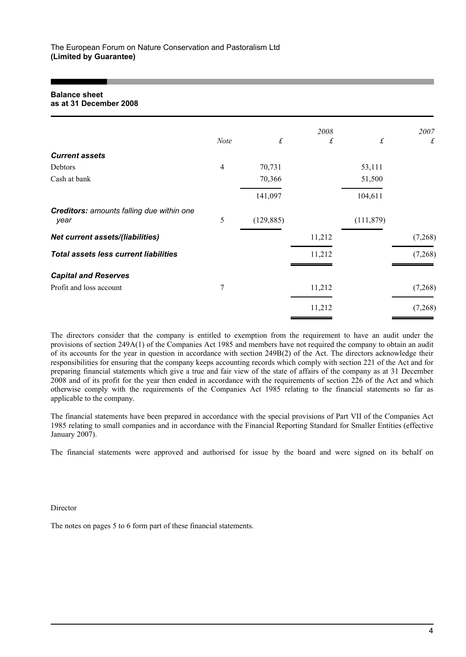# **Balance sheet**

**as at 31 December 2008**

|                                                   | <b>Note</b>    | $\pounds$  | 2008<br>£ | £          | 2007<br>£ |
|---------------------------------------------------|----------------|------------|-----------|------------|-----------|
| <b>Current assets</b>                             |                |            |           |            |           |
| <b>Debtors</b>                                    | $\overline{4}$ | 70,731     |           | 53,111     |           |
| Cash at bank                                      |                | 70,366     |           | 51,500     |           |
|                                                   |                | 141,097    |           | 104,611    |           |
| Creditors: amounts falling due within one<br>year | 5              | (129, 885) |           | (111, 879) |           |
| <b>Net current assets/(liabilities)</b>           |                |            | 11,212    |            | (7,268)   |
| <b>Total assets less current liabilities</b>      |                |            | 11,212    |            | (7,268)   |
| <b>Capital and Reserves</b>                       |                |            |           |            |           |
| Profit and loss account                           | 7              |            | 11,212    |            | (7,268)   |
|                                                   |                |            | 11,212    |            | (7,268)   |

The directors consider that the company is entitled to exemption from the requirement to have an audit under the provisions of section 249A(1) of the Companies Act 1985 and members have not required the company to obtain an audit of its accounts for the year in question in accordance with section 249B(2) of the Act. The directors acknowledge their responsibilities for ensuring that the company keeps accounting records which comply with section 221 of the Act and for preparing financial statements which give a true and fair view of the state of affairs of the company as at 31 December 2008 and of its profit for the year then ended in accordance with the requirements of section 226 of the Act and which otherwise comply with the requirements of the Companies Act 1985 relating to the financial statements so far as applicable to the company.

The financial statements have been prepared in accordance with the special provisions of Part VII of the Companies Act 1985 relating to small companies and in accordance with the Financial Reporting Standard for Smaller Entities (effective January 2007).

The financial statements were approved and authorised for issue by the board and were signed on its behalf on

# Director

The notes on pages 5 to 6 form part of these financial statements.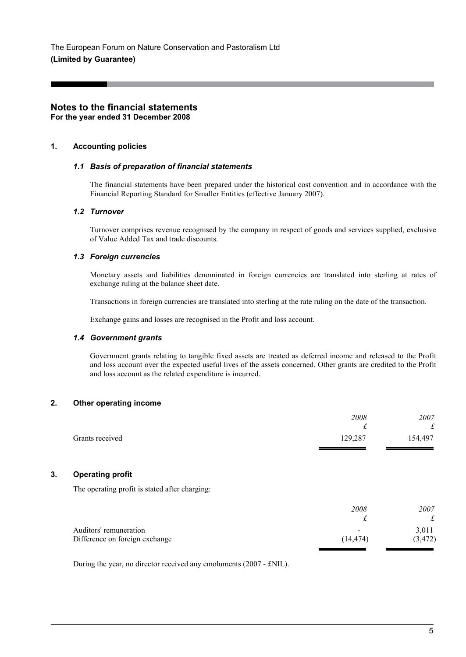**Notes to the financial statements For the year ended 31 December 2008**

#### **1. Accounting policies**

#### *1.1 Basis of preparation of financial statements*

The financial statements have been prepared under the historical cost convention and in accordance with the Financial Reporting Standard for Smaller Entities (effective January 2007).

#### *1.2 Turnover*

Turnover comprises revenue recognised by the company in respect of goods and services supplied, exclusive of Value Added Tax and trade discounts.

#### *1.3 Foreign currencies*

Monetary assets and liabilities denominated in foreign currencies are translated into sterling at rates of exchange ruling at the balance sheet date.

Transactions in foreign currencies are translated into sterling at the rate ruling on the date of the transaction.

Exchange gains and losses are recognised in the Profit and loss account.

#### *1.4 Government grants*

Government grants relating to tangible fixed assets are treated as deferred income and released to the Profit and loss account over the expected useful lives of the assets concerned. Other grants are credited to the Profit and loss account as the related expenditure is incurred.

# **2. Other operating income**

|                 | 2008    | 2007              |
|-----------------|---------|-------------------|
|                 | ~       | $\epsilon$<br>ىمە |
| Grants received | 129,287 | 154,497           |

# **3. Operating profit**

The operating profit is stated after charging:

| 2008                     | 2007     |
|--------------------------|----------|
|                          |          |
| $\overline{\phantom{0}}$ | 3.011    |
| (14, 474)                | (3, 472) |
|                          |          |

During the year, no director received any emoluments (2007 - £NIL).